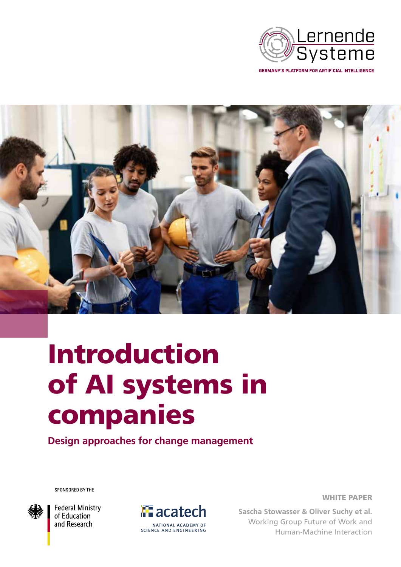

**GERMANY'S PLATFORM FOR ARTIFICIAL INTELLIGENCE** 



# Introduction of AI systems in companies

**Design approaches for change management**

SPONSORED BY THE



**Federal Ministry** of Education and Research



WHITE PAPER

**Sascha Stowasser & Oliver Suchy et al.** Working Group Future of Work and Human-Machine Interaction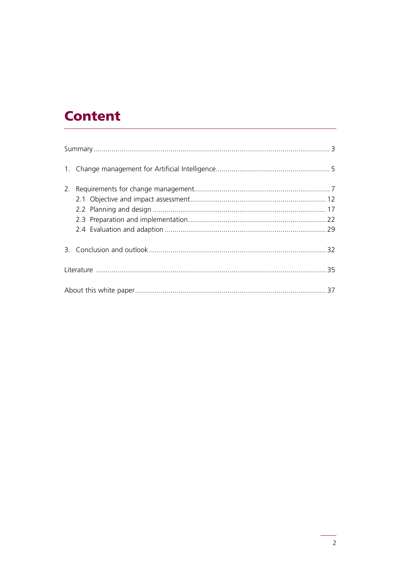## **Content**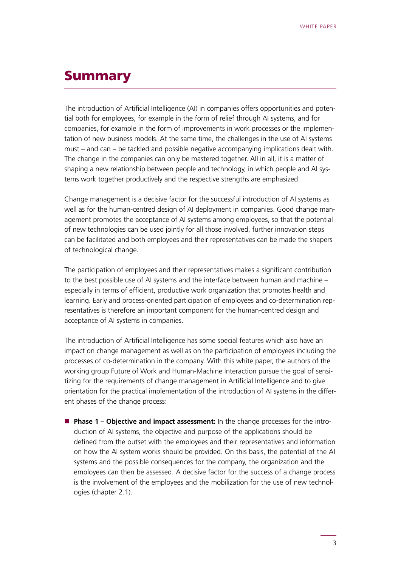### <span id="page-2-0"></span>Summary

The introduction of Artificial Intelligence (AI) in companies offers opportunities and potential both for employees, for example in the form of relief through AI systems, and for companies, for example in the form of improvements in work processes or the implementation of new business models. At the same time, the challenges in the use of AI systems must – and can – be tackled and possible negative accompanying implications dealt with. The change in the companies can only be mastered together. All in all, it is a matter of shaping a new relationship between people and technology, in which people and AI systems work together productively and the respective strengths are emphasized.

Change management is a decisive factor for the successful introduction of AI systems as well as for the human-centred design of AI deployment in companies. Good change management promotes the acceptance of AI systems among employees, so that the potential of new technologies can be used jointly for all those involved, further innovation steps can be facilitated and both employees and their representatives can be made the shapers of technological change.

The participation of employees and their representatives makes a significant contribution to the best possible use of AI systems and the interface between human and machine – especially in terms of efficient, productive work organization that promotes health and learning. Early and process-oriented participation of employees and co-determination representatives is therefore an important component for the human-centred design and acceptance of AI systems in companies.

The introduction of Artificial Intelligence has some special features which also have an impact on change management as well as on the participation of employees including the processes of co-determination in the company. With this white paper, the authors of the working group Future of Work and Human-Machine Interaction pursue the goal of sensitizing for the requirements of change management in Artificial Intelligence and to give orientation for the practical implementation of the introduction of AI systems in the different phases of the change process:

**Phase 1 – Objective and impact assessment:** In the change processes for the introduction of AI systems, the objective and purpose of the applications should be defined from the outset with the employees and their representatives and information on how the AI system works should be provided. On this basis, the potential of the AI systems and the possible consequences for the company, the organization and the employees can then be assessed. A decisive factor for the success of a change process is the involvement of the employees and the mobilization for the use of new technologies (chapter 2.1).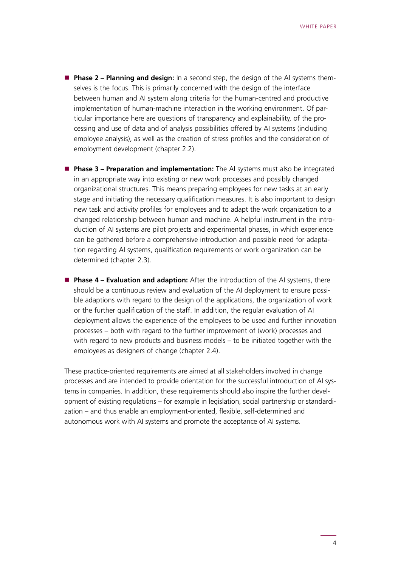- **Phase 2 Planning and design:** In a second step, the design of the AI systems themselves is the focus. This is primarily concerned with the design of the interface between human and AI system along criteria for the human-centred and productive implementation of human-machine interaction in the working environment. Of particular importance here are questions of transparency and explainability, of the processing and use of data and of analysis possibilities offered by AI systems (including employee analysis), as well as the creation of stress profiles and the consideration of employment development (chapter 2.2).
- **Phase 3 Preparation and implementation:** The AI systems must also be integrated in an appropriate way into existing or new work processes and possibly changed organizational structures. This means preparing employees for new tasks at an early stage and initiating the necessary qualification measures. It is also important to design new task and activity profiles for employees and to adapt the work organization to a changed relationship between human and machine. A helpful instrument in the introduction of AI systems are pilot projects and experimental phases, in which experience can be gathered before a comprehensive introduction and possible need for adaptation regarding AI systems, qualification requirements or work organization can be determined (chapter 2.3).
- **Phase 4 Evaluation and adaption:** After the introduction of the AI systems, there should be a continuous review and evaluation of the AI deployment to ensure possible adaptions with regard to the design of the applications, the organization of work or the further qualification of the staff. In addition, the regular evaluation of AI deployment allows the experience of the employees to be used and further innovation processes – both with regard to the further improvement of (work) processes and with regard to new products and business models – to be initiated together with the employees as designers of change (chapter 2.4).

These practice-oriented requirements are aimed at all stakeholders involved in change processes and are intended to provide orientation for the successful introduction of AI systems in companies. In addition, these requirements should also inspire the further development of existing regulations – for example in legislation, social partnership or standardization – and thus enable an employment-oriented, flexible, self-determined and autonomous work with AI systems and promote the acceptance of AI systems.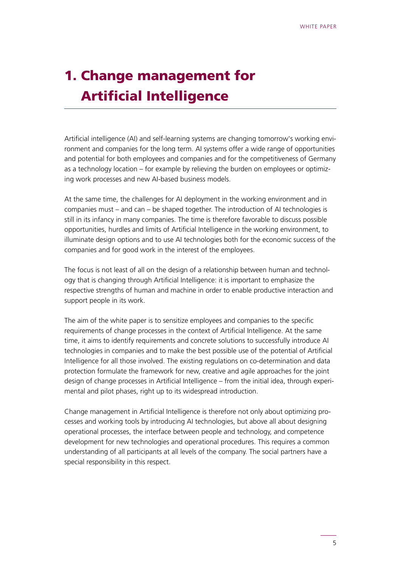# <span id="page-4-0"></span>1. Change management for Artificial Intelligence

Artificial intelligence (AI) and self-learning systems are changing tomorrow's working environment and companies for the long term. AI systems offer a wide range of opportunities and potential for both employees and companies and for the competitiveness of Germany as a technology location – for example by relieving the burden on employees or optimizing work processes and new AI-based business models.

At the same time, the challenges for AI deployment in the working environment and in companies must – and can – be shaped together. The introduction of AI technologies is still in its infancy in many companies. The time is therefore favorable to discuss possible opportunities, hurdles and limits of Artificial Intelligence in the working environment, to illuminate design options and to use AI technologies both for the economic success of the companies and for good work in the interest of the employees.

The focus is not least of all on the design of a relationship between human and technology that is changing through Artificial Intelligence: it is important to emphasize the respective strengths of human and machine in order to enable productive interaction and support people in its work.

The aim of the white paper is to sensitize employees and companies to the specific requirements of change processes in the context of Artificial Intelligence. At the same time, it aims to identify requirements and concrete solutions to successfully introduce AI technologies in companies and to make the best possible use of the potential of Artificial Intelligence for all those involved. The existing regulations on co-determination and data protection formulate the framework for new, creative and agile approaches for the joint design of change processes in Artificial Intelligence – from the initial idea, through experimental and pilot phases, right up to its widespread introduction.

Change management in Artificial Intelligence is therefore not only about optimizing processes and working tools by introducing AI technologies, but above all about designing operational processes, the interface between people and technology, and competence development for new technologies and operational procedures. This requires a common understanding of all participants at all levels of the company. The social partners have a special responsibility in this respect.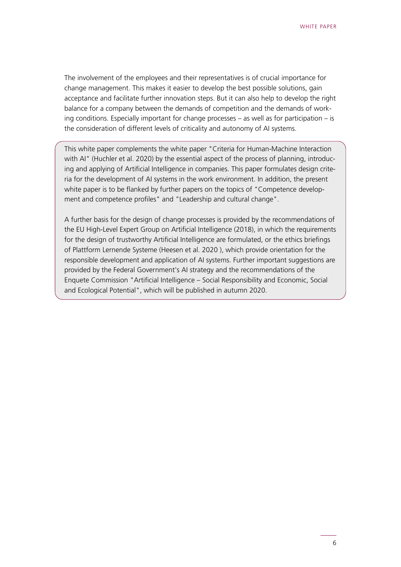The involvement of the employees and their representatives is of crucial importance for change management. This makes it easier to develop the best possible solutions, gain acceptance and facilitate further innovation steps. But it can also help to develop the right balance for a company between the demands of competition and the demands of working conditions. Especially important for change processes – as well as for participation – is the consideration of different levels of criticality and autonomy of AI systems.

This white paper complements the white paper "Criteria for Human-Machine Interaction with AI" (Huchler et al. 2020) by the essential aspect of the process of planning, introducing and applying of Artificial Intelligence in companies. This paper formulates design criteria for the development of AI systems in the work environment. In addition, the present white paper is to be flanked by further papers on the topics of "Competence development and competence profiles" and "Leadership and cultural change".

A further basis for the design of change processes is provided by the recommendations of the EU High-Level Expert Group on Artificial Intelligence (2018), in which the requirements for the design of trustworthy Artificial Intelligence are formulated, or the ethics briefings of Plattform Lernende Systeme (Heesen et al. 2020 ), which provide orientation for the responsible development and application of AI systems. Further important suggestions are provided by the Federal Government's AI strategy and the recommendations of the Enquete Commission "Artificial Intelligence – Social Responsibility and Economic, Social and Ecological Potential", which will be published in autumn 2020.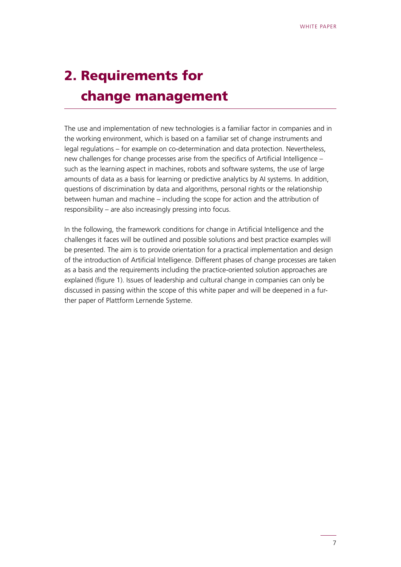# <span id="page-6-0"></span>2. Requirements for change management

The use and implementation of new technologies is a familiar factor in companies and in the working environment, which is based on a familiar set of change instruments and legal regulations – for example on co-determination and data protection. Nevertheless, new challenges for change processes arise from the specifics of Artificial Intelligence – such as the learning aspect in machines, robots and software systems, the use of large amounts of data as a basis for learning or predictive analytics by AI systems. In addition, questions of discrimination by data and algorithms, personal rights or the relationship between human and machine – including the scope for action and the attribution of responsibility – are also increasingly pressing into focus.

In the following, the framework conditions for change in Artificial Intelligence and the challenges it faces will be outlined and possible solutions and best practice examples will be presented. The aim is to provide orientation for a practical implementation and design of the introduction of Artificial Intelligence. Different phases of change processes are taken as a basis and the requirements including the practice-oriented solution approaches are explained (figure 1). Issues of leadership and cultural change in companies can only be discussed in passing within the scope of this white paper and will be deepened in a further paper of Plattform Lernende Systeme.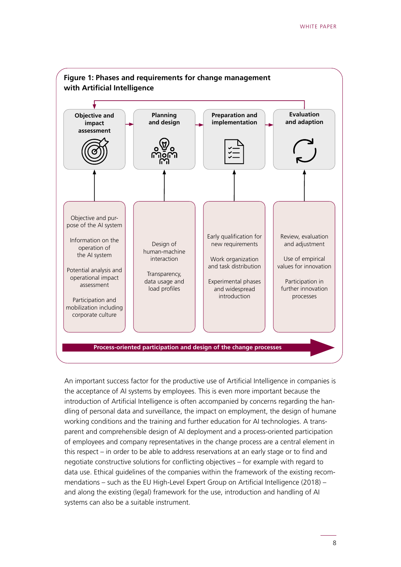

An important success factor for the productive use of Artificial Intelligence in companies is the acceptance of AI systems by employees. This is even more important because the introduction of Artificial Intelligence is often accompanied by concerns regarding the handling of personal data and surveillance, the impact on employment, the design of humane working conditions and the training and further education for AI technologies. A transparent and comprehensible design of AI deployment and a process-oriented participation of employees and company representatives in the change process are a central element in this respect – in order to be able to address reservations at an early stage or to find and negotiate constructive solutions for conflicting objectives – for example with regard to data use. Ethical guidelines of the companies within the framework of the existing recommendations – such as the EU High-Level Expert Group on Artificial Intelligence (2018) – and along the existing (legal) framework for the use, introduction and handling of AI systems can also be a suitable instrument.

8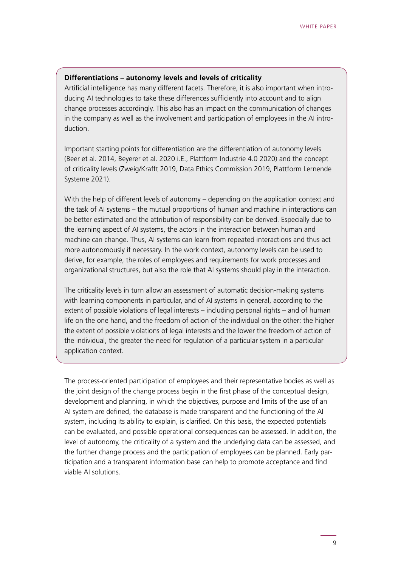#### **Differentiations – autonomy levels and levels of criticality**

Artificial intelligence has many different facets. Therefore, it is also important when introducing AI technologies to take these differences sufficiently into account and to align change processes accordingly. This also has an impact on the communication of changes in the company as well as the involvement and participation of employees in the AI introduction.

Important starting points for differentiation are the differentiation of autonomy levels (Beer et al. 2014, Beyerer et al. 2020 i.E., Plattform Industrie 4.0 2020) and the concept of criticality levels (Zweig/Krafft 2019, Data Ethics Commission 2019, Plattform Lernende Systeme 2021).

With the help of different levels of autonomy – depending on the application context and the task of AI systems – the mutual proportions of human and machine in interactions can be better estimated and the attribution of responsibility can be derived. Especially due to the learning aspect of AI systems, the actors in the interaction between human and machine can change. Thus, AI systems can learn from repeated interactions and thus act more autonomously if necessary. In the work context, autonomy levels can be used to derive, for example, the roles of employees and requirements for work processes and organizational structures, but also the role that AI systems should play in the interaction.

The criticality levels in turn allow an assessment of automatic decision-making systems with learning components in particular, and of AI systems in general, according to the extent of possible violations of legal interests – including personal rights – and of human life on the one hand, and the freedom of action of the individual on the other: the higher the extent of possible violations of legal interests and the lower the freedom of action of the individual, the greater the need for regulation of a particular system in a particular application context.

The process-oriented participation of employees and their representative bodies as well as the joint design of the change process begin in the first phase of the conceptual design, development and planning, in which the objectives, purpose and limits of the use of an AI system are defined, the database is made transparent and the functioning of the AI system, including its ability to explain, is clarified. On this basis, the expected potentials can be evaluated, and possible operational consequences can be assessed. In addition, the level of autonomy, the criticality of a system and the underlying data can be assessed, and the further change process and the participation of employees can be planned. Early participation and a transparent information base can help to promote acceptance and find viable AI solutions.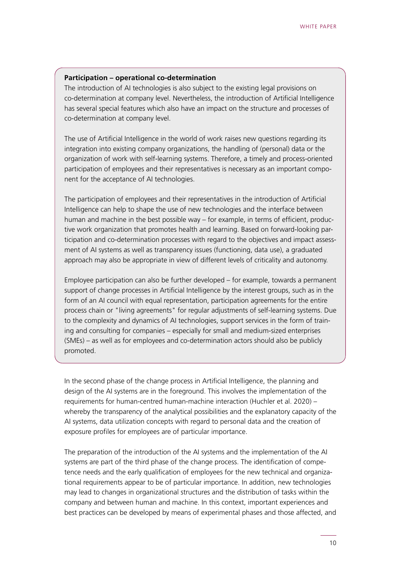#### **Participation – operational co-determination**

The introduction of AI technologies is also subject to the existing legal provisions on co-determination at company level. Nevertheless, the introduction of Artificial Intelligence has several special features which also have an impact on the structure and processes of co-determination at company level.

The use of Artificial Intelligence in the world of work raises new questions regarding its integration into existing company organizations, the handling of (personal) data or the organization of work with self-learning systems. Therefore, a timely and process-oriented participation of employees and their representatives is necessary as an important component for the acceptance of AI technologies.

The participation of employees and their representatives in the introduction of Artificial Intelligence can help to shape the use of new technologies and the interface between human and machine in the best possible way – for example, in terms of efficient, productive work organization that promotes health and learning. Based on forward-looking participation and co-determination processes with regard to the objectives and impact assessment of AI systems as well as transparency issues (functioning, data use), a graduated approach may also be appropriate in view of different levels of criticality and autonomy.

Employee participation can also be further developed – for example, towards a permanent support of change processes in Artificial Intelligence by the interest groups, such as in the form of an AI council with equal representation, participation agreements for the entire process chain or "living agreements" for regular adjustments of self-learning systems. Due to the complexity and dynamics of AI technologies, support services in the form of training and consulting for companies – especially for small and medium-sized enterprises (SMEs) – as well as for employees and co-determination actors should also be publicly promoted.

In the second phase of the change process in Artificial Intelligence, the planning and design of the AI systems are in the foreground. This involves the implementation of the requirements for human-centred human-machine interaction (Huchler et al. 2020) – whereby the transparency of the analytical possibilities and the explanatory capacity of the AI systems, data utilization concepts with regard to personal data and the creation of exposure profiles for employees are of particular importance.

The preparation of the introduction of the AI systems and the implementation of the AI systems are part of the third phase of the change process. The identification of competence needs and the early qualification of employees for the new technical and organizational requirements appear to be of particular importance. In addition, new technologies may lead to changes in organizational structures and the distribution of tasks within the company and between human and machine. In this context, important experiences and best practices can be developed by means of experimental phases and those affected, and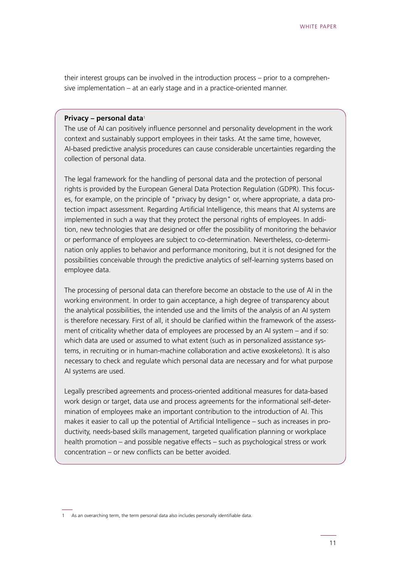their interest groups can be involved in the introduction process – prior to a comprehensive implementation – at an early stage and in a practice-oriented manner.

#### **Privacy – personal data**<sup>1</sup>

The use of AI can positively influence personnel and personality development in the work context and sustainably support employees in their tasks. At the same time, however, AI-based predictive analysis procedures can cause considerable uncertainties regarding the collection of personal data.

The legal framework for the handling of personal data and the protection of personal rights is provided by the European General Data Protection Regulation (GDPR). This focuses, for example, on the principle of "privacy by design" or, where appropriate, a data protection impact assessment. Regarding Artificial Intelligence, this means that AI systems are implemented in such a way that they protect the personal rights of employees. In addition, new technologies that are designed or offer the possibility of monitoring the behavior or performance of employees are subject to co-determination. Nevertheless, co-determination only applies to behavior and performance monitoring, but it is not designed for the possibilities conceivable through the predictive analytics of self-learning systems based on employee data.

The processing of personal data can therefore become an obstacle to the use of AI in the working environment. In order to gain acceptance, a high degree of transparency about the analytical possibilities, the intended use and the limits of the analysis of an AI system is therefore necessary. First of all, it should be clarified within the framework of the assessment of criticality whether data of employees are processed by an AI system – and if so: which data are used or assumed to what extent (such as in personalized assistance systems, in recruiting or in human-machine collaboration and active exoskeletons). It is also necessary to check and regulate which personal data are necessary and for what purpose AI systems are used.

Legally prescribed agreements and process-oriented additional measures for data-based work design or target, data use and process agreements for the informational self-determination of employees make an important contribution to the introduction of AI. This makes it easier to call up the potential of Artificial Intelligence – such as increases in productivity, needs-based skills management, targeted qualification planning or workplace health promotion – and possible negative effects – such as psychological stress or work concentration – or new conflicts can be better avoided.

<sup>1</sup> As an overarching term, the term personal data also includes personally identifiable data.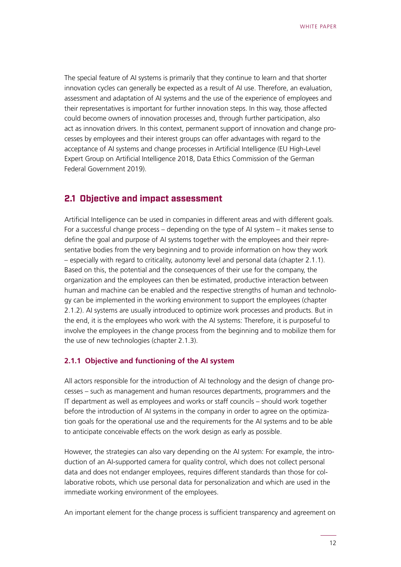<span id="page-11-0"></span>The special feature of AI systems is primarily that they continue to learn and that shorter innovation cycles can generally be expected as a result of AI use. Therefore, an evaluation, assessment and adaptation of AI systems and the use of the experience of employees and their representatives is important for further innovation steps. In this way, those affected could become owners of innovation processes and, through further participation, also act as innovation drivers. In this context, permanent support of innovation and change processes by employees and their interest groups can offer advantages with regard to the acceptance of AI systems and change processes in Artificial Intelligence (EU High-Level Expert Group on Artificial Intelligence 2018, Data Ethics Commission of the German Federal Government 2019).

#### **2.1 Objective and impact assessment**

Artificial Intelligence can be used in companies in different areas and with different goals. For a successful change process – depending on the type of AI system – it makes sense to define the goal and purpose of AI systems together with the employees and their representative bodies from the very beginning and to provide information on how they work – especially with regard to criticality, autonomy level and personal data (chapter 2.1.1). Based on this, the potential and the consequences of their use for the company, the organization and the employees can then be estimated, productive interaction between human and machine can be enabled and the respective strengths of human and technology can be implemented in the working environment to support the employees (chapter 2.1.2). AI systems are usually introduced to optimize work processes and products. But in the end, it is the employees who work with the AI systems: Therefore, it is purposeful to involve the employees in the change process from the beginning and to mobilize them for the use of new technologies (chapter 2.1.3).

#### **2.1.1 Objective and functioning of the AI system**

All actors responsible for the introduction of AI technology and the design of change processes – such as management and human resources departments, programmers and the IT department as well as employees and works or staff councils – should work together before the introduction of AI systems in the company in order to agree on the optimization goals for the operational use and the requirements for the AI systems and to be able to anticipate conceivable effects on the work design as early as possible.

However, the strategies can also vary depending on the AI system: For example, the introduction of an AI-supported camera for quality control, which does not collect personal data and does not endanger employees, requires different standards than those for collaborative robots, which use personal data for personalization and which are used in the immediate working environment of the employees.

An important element for the change process is sufficient transparency and agreement on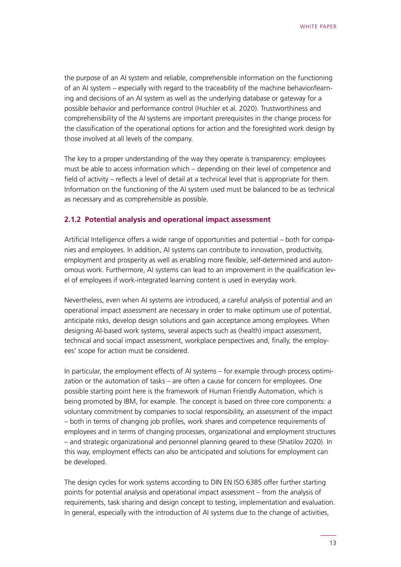the purpose of an AI system and reliable, comprehensible information on the functioning of an AI system – especially with regard to the traceability of the machine behavior/learning and decisions of an AI system as well as the underlying database or gateway for a possible behavior and performance control (Huchler et al. 2020). Trustworthiness and comprehensibility of the AI systems are important prerequisites in the change process for the classification of the operational options for action and the foresighted work design by those involved at all levels of the company.

The key to a proper understanding of the way they operate is transparency: employees must be able to access information which – depending on their level of competence and field of activity – reflects a level of detail at a technical level that is appropriate for them. Information on the functioning of the AI system used must be balanced to be as technical as necessary and as comprehensible as possible.

#### **2.1.2 Potential analysis and operational impact assessment**

Artificial Intelligence offers a wide range of opportunities and potential – both for companies and employees. In addition, AI systems can contribute to innovation, productivity, employment and prosperity as well as enabling more flexible, self-determined and autonomous work. Furthermore, AI systems can lead to an improvement in the qualification level of employees if work-integrated learning content is used in everyday work.

Nevertheless, even when AI systems are introduced, a careful analysis of potential and an operational impact assessment are necessary in order to make optimum use of potential, anticipate risks, develop design solutions and gain acceptance among employees. When designing AI-based work systems, several aspects such as (health) impact assessment, technical and social impact assessment, workplace perspectives and, finally, the employees' scope for action must be considered.

In particular, the employment effects of AI systems – for example through process optimization or the automation of tasks – are often a cause for concern for employees. One possible starting point here is the framework of Human Friendly Automation, which is being promoted by IBM, for example. The concept is based on three core components: a voluntary commitment by companies to social responsibility, an assessment of the impact – both in terms of changing job profiles, work shares and competence requirements of employees and in terms of changing processes, organizational and employment structures – and strategic organizational and personnel planning geared to these (Shatilov 2020). In this way, employment effects can also be anticipated and solutions for employment can be developed.

The design cycles for work systems according to DIN EN ISO 6385 offer further starting points for potential analysis and operational impact assessment – from the analysis of requirements, task sharing and design concept to testing, implementation and evaluation. In general, especially with the introduction of AI systems due to the change of activities,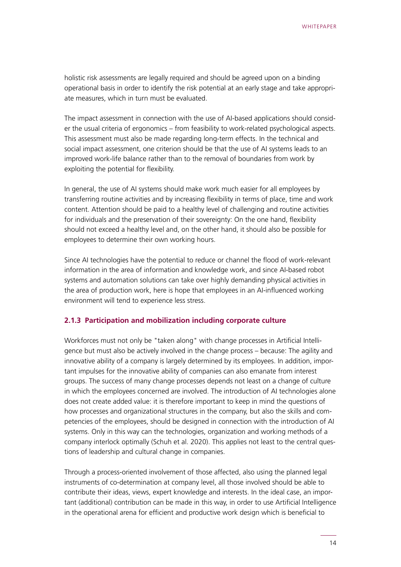holistic risk assessments are legally required and should be agreed upon on a binding operational basis in order to identify the risk potential at an early stage and take appropriate measures, which in turn must be evaluated.

The impact assessment in connection with the use of AI-based applications should consider the usual criteria of ergonomics – from feasibility to work-related psychological aspects. This assessment must also be made regarding long-term effects. In the technical and social impact assessment, one criterion should be that the use of AI systems leads to an improved work-life balance rather than to the removal of boundaries from work by exploiting the potential for flexibility.

In general, the use of AI systems should make work much easier for all employees by transferring routine activities and by increasing flexibility in terms of place, time and work content. Attention should be paid to a healthy level of challenging and routine activities for individuals and the preservation of their sovereignty: On the one hand, flexibility should not exceed a healthy level and, on the other hand, it should also be possible for employees to determine their own working hours.

Since AI technologies have the potential to reduce or channel the flood of work-relevant information in the area of information and knowledge work, and since AI-based robot systems and automation solutions can take over highly demanding physical activities in the area of production work, here is hope that employees in an AI-influenced working environment will tend to experience less stress.

#### **2.1.3 Participation and mobilization including corporate culture**

Workforces must not only be "taken along" with change processes in Artificial Intelligence but must also be actively involved in the change process – because: The agility and innovative ability of a company is largely determined by its employees. In addition, important impulses for the innovative ability of companies can also emanate from interest groups. The success of many change processes depends not least on a change of culture in which the employees concerned are involved. The introduction of AI technologies alone does not create added value: it is therefore important to keep in mind the questions of how processes and organizational structures in the company, but also the skills and competencies of the employees, should be designed in connection with the introduction of AI systems. Only in this way can the technologies, organization and working methods of a company interlock optimally (Schuh et al. 2020). This applies not least to the central questions of leadership and cultural change in companies.

Through a process-oriented involvement of those affected, also using the planned legal instruments of co-determination at company level, all those involved should be able to contribute their ideas, views, expert knowledge and interests. In the ideal case, an important (additional) contribution can be made in this way, in order to use Artificial Intelligence in the operational arena for efficient and productive work design which is beneficial to

14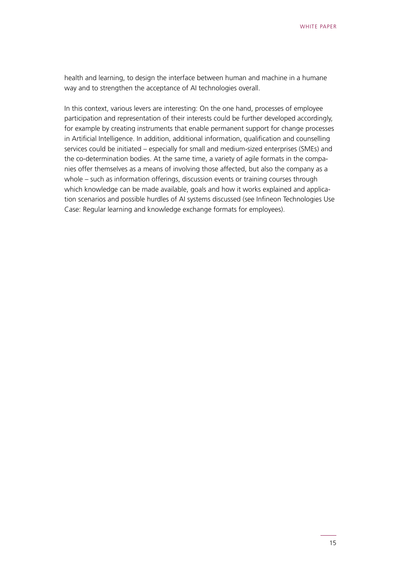health and learning, to design the interface between human and machine in a humane way and to strengthen the acceptance of AI technologies overall.

In this context, various levers are interesting: On the one hand, processes of employee participation and representation of their interests could be further developed accordingly, for example by creating instruments that enable permanent support for change processes in Artificial Intelligence. In addition, additional information, qualification and counselling services could be initiated – especially for small and medium-sized enterprises (SMEs) and the co-determination bodies. At the same time, a variety of agile formats in the companies offer themselves as a means of involving those affected, but also the company as a whole – such as information offerings, discussion events or training courses through which knowledge can be made available, goals and how it works explained and application scenarios and possible hurdles of AI systems discussed (see Infineon Technologies Use Case: Regular learning and knowledge exchange formats for employees).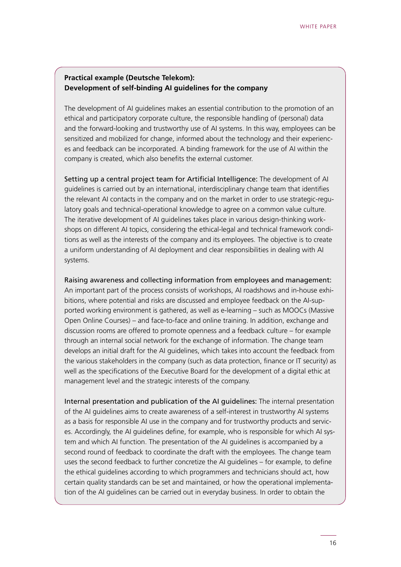#### **Practical example (Deutsche Telekom): Development of self-binding AI guidelines for the company**

The development of AI guidelines makes an essential contribution to the promotion of an ethical and participatory corporate culture, the responsible handling of (personal) data and the forward-looking and trustworthy use of AI systems. In this way, employees can be sensitized and mobilized for change, informed about the technology and their experiences and feedback can be incorporated. A binding framework for the use of AI within the company is created, which also benefits the external customer.

Setting up a central project team for Artificial Intelligence: The development of AI guidelines is carried out by an international, interdisciplinary change team that identifies the relevant AI contacts in the company and on the market in order to use strategic-regulatory goals and technical-operational knowledge to agree on a common value culture. The iterative development of AI guidelines takes place in various design-thinking workshops on different AI topics, considering the ethical-legal and technical framework conditions as well as the interests of the company and its employees. The objective is to create a uniform understanding of AI deployment and clear responsibilities in dealing with AI systems.

Raising awareness and collecting information from employees and management: An important part of the process consists of workshops, AI roadshows and in-house exhibitions, where potential and risks are discussed and employee feedback on the AI-supported working environment is gathered, as well as e-learning – such as MOOCs (Massive Open Online Courses) – and face-to-face and online training. In addition, exchange and discussion rooms are offered to promote openness and a feedback culture – for example through an internal social network for the exchange of information. The change team develops an initial draft for the AI guidelines, which takes into account the feedback from the various stakeholders in the company (such as data protection, finance or IT security) as well as the specifications of the Executive Board for the development of a digital ethic at management level and the strategic interests of the company.

Internal presentation and publication of the AI guidelines: The internal presentation of the AI guidelines aims to create awareness of a self-interest in trustworthy AI systems as a basis for responsible AI use in the company and for trustworthy products and services. Accordingly, the AI guidelines define, for example, who is responsible for which AI system and which AI function. The presentation of the AI guidelines is accompanied by a second round of feedback to coordinate the draft with the employees. The change team uses the second feedback to further concretize the AI guidelines – for example, to define the ethical guidelines according to which programmers and technicians should act, how certain quality standards can be set and maintained, or how the operational implementation of the AI guidelines can be carried out in everyday business. In order to obtain the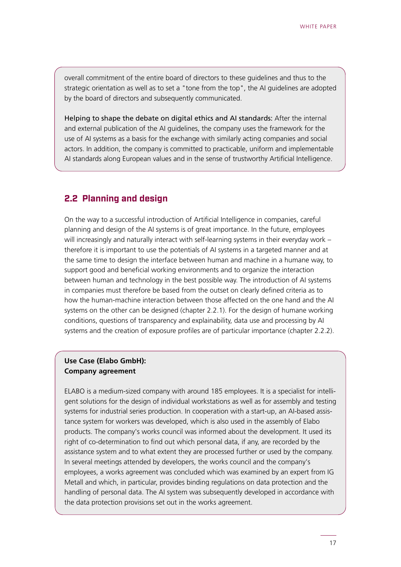<span id="page-16-0"></span>overall commitment of the entire board of directors to these guidelines and thus to the strategic orientation as well as to set a "tone from the top", the AI guidelines are adopted by the board of directors and subsequently communicated.

Helping to shape the debate on digital ethics and AI standards: After the internal and external publication of the AI guidelines, the company uses the framework for the use of AI systems as a basis for the exchange with similarly acting companies and social actors. In addition, the company is committed to practicable, uniform and implementable AI standards along European values and in the sense of trustworthy Artificial Intelligence.

#### **2.2 Planning and design**

On the way to a successful introduction of Artificial Intelligence in companies, careful planning and design of the AI systems is of great importance. In the future, employees will increasingly and naturally interact with self-learning systems in their everyday work – therefore it is important to use the potentials of AI systems in a targeted manner and at the same time to design the interface between human and machine in a humane way, to support good and beneficial working environments and to organize the interaction between human and technology in the best possible way. The introduction of AI systems in companies must therefore be based from the outset on clearly defined criteria as to how the human-machine interaction between those affected on the one hand and the AI systems on the other can be designed (chapter 2.2.1). For the design of humane working conditions, questions of transparency and explainability, data use and processing by AI systems and the creation of exposure profiles are of particular importance (chapter 2.2.2).

#### **Use Case (Elabo GmbH): Company agreement**

ELABO is a medium-sized company with around 185 employees. It is a specialist for intelligent solutions for the design of individual workstations as well as for assembly and testing systems for industrial series production. In cooperation with a start-up, an AI-based assistance system for workers was developed, which is also used in the assembly of Elabo products. The company's works council was informed about the development. It used its right of co-determination to find out which personal data, if any, are recorded by the assistance system and to what extent they are processed further or used by the company. In several meetings attended by developers, the works council and the company's employees, a works agreement was concluded which was examined by an expert from IG Metall and which, in particular, provides binding regulations on data protection and the handling of personal data. The AI system was subsequently developed in accordance with the data protection provisions set out in the works agreement.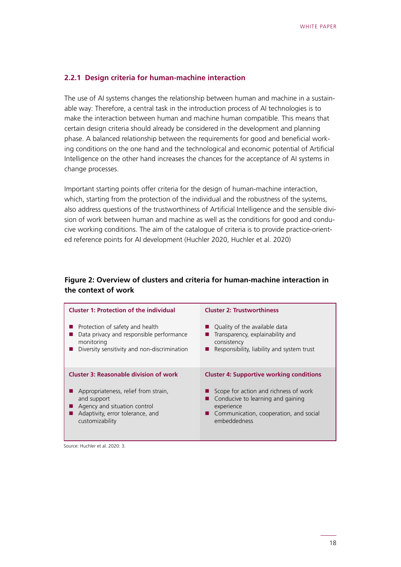#### **2.2.1 Design criteria for human-machine interaction**

The use of AI systems changes the relationship between human and machine in a sustainable way: Therefore, a central task in the introduction process of AI technologies is to make the interaction between human and machine human compatible. This means that certain design criteria should already be considered in the development and planning phase. A balanced relationship between the requirements for good and beneficial working conditions on the one hand and the technological and economic potential of Artificial Intelligence on the other hand increases the chances for the acceptance of AI systems in change processes.

Important starting points offer criteria for the design of human-machine interaction, which, starting from the protection of the individual and the robustness of the systems, also address questions of the trustworthiness of Artificial Intelligence and the sensible division of work between human and machine as well as the conditions for good and conducive working conditions. The aim of the catalogue of criteria is to provide practice-oriented reference points for AI development (Huchler 2020, Huchler et al. 2020)

#### **Figure 2: Overview of clusters and criteria for human-machine interaction in the context of work**

| <b>Cluster 1: Protection of the individual</b> | <b>Cluster 2: Trustworthiness</b>               |  |
|------------------------------------------------|-------------------------------------------------|--|
| Protection of safety and health                | Quality of the available data                   |  |
| Data privacy and responsible performance       | Transparency, explainability and                |  |
| monitoring                                     | consistency                                     |  |
| Diversity sensitivity and non-discrimination   | Responsibility, liability and system trust      |  |
| <b>Cluster 3: Reasonable division of work</b>  | <b>Cluster 4: Supportive working conditions</b> |  |
| Appropriateness, relief from strain,           | Scope for action and richness of work           |  |
| and support                                    | Conducive to learning and gaining               |  |
| Agency and situation control                   | experience                                      |  |
| Adaptivity, error tolerance, and               | Communication, cooperation, and social          |  |
| customizability                                | embeddedness                                    |  |

Source: Huchler et al. 2020: 3.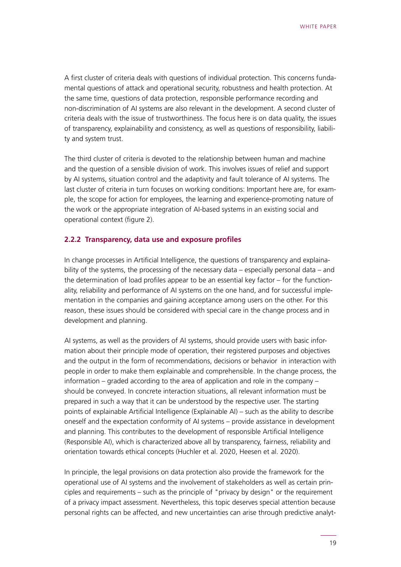A first cluster of criteria deals with questions of individual protection. This concerns fundamental questions of attack and operational security, robustness and health protection. At the same time, questions of data protection, responsible performance recording and non-discrimination of AI systems are also relevant in the development. A second cluster of criteria deals with the issue of trustworthiness. The focus here is on data quality, the issues of transparency, explainability and consistency, as well as questions of responsibility, liability and system trust.

The third cluster of criteria is devoted to the relationship between human and machine and the question of a sensible division of work. This involves issues of relief and support by AI systems, situation control and the adaptivity and fault tolerance of AI systems. The last cluster of criteria in turn focuses on working conditions: Important here are, for example, the scope for action for employees, the learning and experience-promoting nature of the work or the appropriate integration of AI-based systems in an existing social and operational context (figure 2).

#### **2.2.2 Transparency, data use and exposure profiles**

In change processes in Artificial Intelligence, the questions of transparency and explainability of the systems, the processing of the necessary data – especially personal data – and the determination of load profiles appear to be an essential key factor – for the functionality, reliability and performance of AI systems on the one hand, and for successful implementation in the companies and gaining acceptance among users on the other. For this reason, these issues should be considered with special care in the change process and in development and planning.

AI systems, as well as the providers of AI systems, should provide users with basic information about their principle mode of operation, their registered purposes and objectives and the output in the form of recommendations, decisions or behavior in interaction with people in order to make them explainable and comprehensible. In the change process, the information – graded according to the area of application and role in the company – should be conveyed. In concrete interaction situations, all relevant information must be prepared in such a way that it can be understood by the respective user. The starting points of explainable Artificial Intelligence (Explainable AI) – such as the ability to describe oneself and the expectation conformity of AI systems – provide assistance in development and planning. This contributes to the development of responsible Artificial Intelligence (Responsible AI), which is characterized above all by transparency, fairness, reliability and orientation towards ethical concepts (Huchler et al. 2020, Heesen et al. 2020).

In principle, the legal provisions on data protection also provide the framework for the operational use of AI systems and the involvement of stakeholders as well as certain principles and requirements – such as the principle of "privacy by design" or the requirement of a privacy impact assessment. Nevertheless, this topic deserves special attention because personal rights can be affected, and new uncertainties can arise through predictive analyt-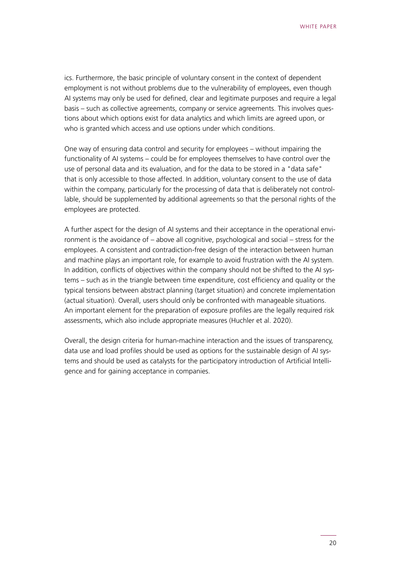ics. Furthermore, the basic principle of voluntary consent in the context of dependent employment is not without problems due to the vulnerability of employees, even though AI systems may only be used for defined, clear and legitimate purposes and require a legal basis – such as collective agreements, company or service agreements. This involves questions about which options exist for data analytics and which limits are agreed upon, or who is granted which access and use options under which conditions.

One way of ensuring data control and security for employees – without impairing the functionality of AI systems – could be for employees themselves to have control over the use of personal data and its evaluation, and for the data to be stored in a "data safe" that is only accessible to those affected. In addition, voluntary consent to the use of data within the company, particularly for the processing of data that is deliberately not controllable, should be supplemented by additional agreements so that the personal rights of the employees are protected.

A further aspect for the design of AI systems and their acceptance in the operational environment is the avoidance of – above all cognitive, psychological and social – stress for the employees. A consistent and contradiction-free design of the interaction between human and machine plays an important role, for example to avoid frustration with the AI system. In addition, conflicts of objectives within the company should not be shifted to the AI systems – such as in the triangle between time expenditure, cost efficiency and quality or the typical tensions between abstract planning (target situation) and concrete implementation (actual situation). Overall, users should only be confronted with manageable situations. An important element for the preparation of exposure profiles are the legally required risk assessments, which also include appropriate measures (Huchler et al. 2020).

Overall, the design criteria for human-machine interaction and the issues of transparency, data use and load profiles should be used as options for the sustainable design of AI systems and should be used as catalysts for the participatory introduction of Artificial Intelligence and for gaining acceptance in companies.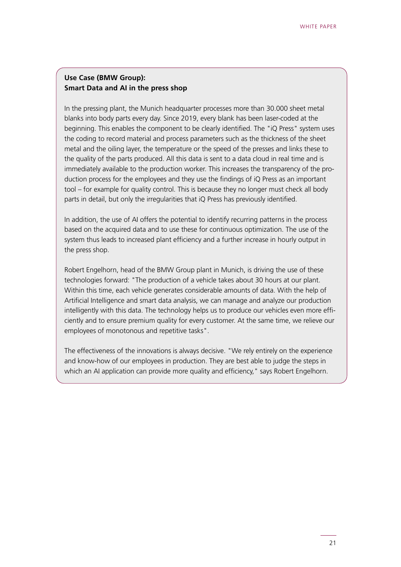#### **Use Case (BMW Group): Smart Data and AI in the press shop**

In the pressing plant, the Munich headquarter processes more than 30.000 sheet metal blanks into body parts every day. Since 2019, every blank has been laser-coded at the beginning. This enables the component to be clearly identified. The "iQ Press" system uses the coding to record material and process parameters such as the thickness of the sheet metal and the oiling layer, the temperature or the speed of the presses and links these to the quality of the parts produced. All this data is sent to a data cloud in real time and is immediately available to the production worker. This increases the transparency of the production process for the employees and they use the findings of iQ Press as an important tool – for example for quality control. This is because they no longer must check all body parts in detail, but only the irregularities that iQ Press has previously identified.

In addition, the use of AI offers the potential to identify recurring patterns in the process based on the acquired data and to use these for continuous optimization. The use of the system thus leads to increased plant efficiency and a further increase in hourly output in the press shop.

Robert Engelhorn, head of the BMW Group plant in Munich, is driving the use of these technologies forward: "The production of a vehicle takes about 30 hours at our plant. Within this time, each vehicle generates considerable amounts of data. With the help of Artificial Intelligence and smart data analysis, we can manage and analyze our production intelligently with this data. The technology helps us to produce our vehicles even more efficiently and to ensure premium quality for every customer. At the same time, we relieve our employees of monotonous and repetitive tasks".

The effectiveness of the innovations is always decisive. "We rely entirely on the experience and know-how of our employees in production. They are best able to judge the steps in which an AI application can provide more quality and efficiency," says Robert Engelhorn.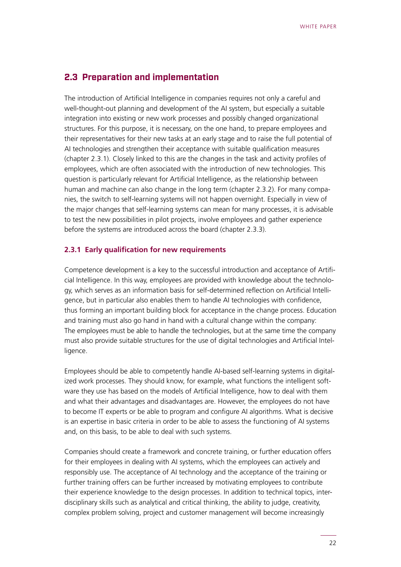#### <span id="page-21-0"></span>**2.3 Preparation and implementation**

The introduction of Artificial Intelligence in companies requires not only a careful and well-thought-out planning and development of the AI system, but especially a suitable integration into existing or new work processes and possibly changed organizational structures. For this purpose, it is necessary, on the one hand, to prepare employees and their representatives for their new tasks at an early stage and to raise the full potential of AI technologies and strengthen their acceptance with suitable qualification measures (chapter 2.3.1). Closely linked to this are the changes in the task and activity profiles of employees, which are often associated with the introduction of new technologies. This question is particularly relevant for Artificial Intelligence, as the relationship between human and machine can also change in the long term (chapter 2.3.2). For many companies, the switch to self-learning systems will not happen overnight. Especially in view of the major changes that self-learning systems can mean for many processes, it is advisable to test the new possibilities in pilot projects, involve employees and gather experience before the systems are introduced across the board (chapter 2.3.3).

#### **2.3.1 Early qualification for new requirements**

Competence development is a key to the successful introduction and acceptance of Artificial Intelligence. In this way, employees are provided with knowledge about the technology, which serves as an information basis for self-determined reflection on Artificial Intelligence, but in particular also enables them to handle AI technologies with confidence, thus forming an important building block for acceptance in the change process. Education and training must also go hand in hand with a cultural change within the company: The employees must be able to handle the technologies, but at the same time the company must also provide suitable structures for the use of digital technologies and Artificial Intelligence.

Employees should be able to competently handle AI-based self-learning systems in digitalized work processes. They should know, for example, what functions the intelligent software they use has based on the models of Artificial Intelligence, how to deal with them and what their advantages and disadvantages are. However, the employees do not have to become IT experts or be able to program and configure AI algorithms. What is decisive is an expertise in basic criteria in order to be able to assess the functioning of AI systems and, on this basis, to be able to deal with such systems.

Companies should create a framework and concrete training, or further education offers for their employees in dealing with AI systems, which the employees can actively and responsibly use. The acceptance of AI technology and the acceptance of the training or further training offers can be further increased by motivating employees to contribute their experience knowledge to the design processes. In addition to technical topics, interdisciplinary skills such as analytical and critical thinking, the ability to judge, creativity, complex problem solving, project and customer management will become increasingly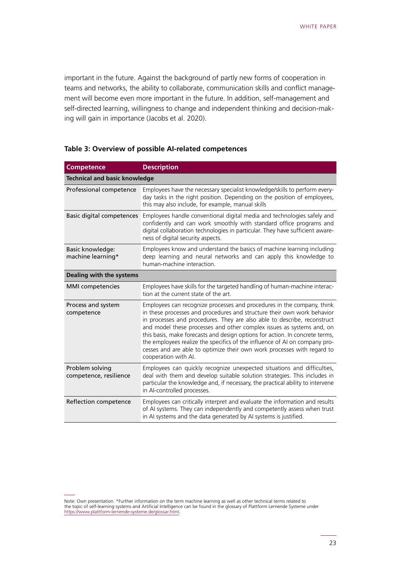important in the future. Against the background of partly new forms of cooperation in teams and networks, the ability to collaborate, communication skills and conflict management will become even more important in the future. In addition, self-management and self-directed learning, willingness to change and independent thinking and decision-making will gain in importance (Jacobs et al. 2020).

| <b>Competence</b>                         | <b>Description</b>                                                                                                                                                                                                                                                                                                                                                                                                                                                                                                                                                      |  |  |  |
|-------------------------------------------|-------------------------------------------------------------------------------------------------------------------------------------------------------------------------------------------------------------------------------------------------------------------------------------------------------------------------------------------------------------------------------------------------------------------------------------------------------------------------------------------------------------------------------------------------------------------------|--|--|--|
| <b>Technical and basic knowledge</b>      |                                                                                                                                                                                                                                                                                                                                                                                                                                                                                                                                                                         |  |  |  |
| Professional competence                   | Employees have the necessary specialist knowledge/skills to perform every-<br>day tasks in the right position. Depending on the position of employees,<br>this may also include, for example, manual skills                                                                                                                                                                                                                                                                                                                                                             |  |  |  |
| Basic digital competences                 | Employees handle conventional digital media and technologies safely and<br>confidently and can work smoothly with standard office programs and<br>digital collaboration technologies in particular. They have sufficient aware-<br>ness of digital security aspects.                                                                                                                                                                                                                                                                                                    |  |  |  |
| Basic knowledge:<br>machine learning*     | Employees know and understand the basics of machine learning including<br>deep learning and neural networks and can apply this knowledge to<br>human-machine interaction.                                                                                                                                                                                                                                                                                                                                                                                               |  |  |  |
| Dealing with the systems                  |                                                                                                                                                                                                                                                                                                                                                                                                                                                                                                                                                                         |  |  |  |
| <b>MMI</b> competencies                   | Employees have skills for the targeted handling of human-machine interac-<br>tion at the current state of the art.                                                                                                                                                                                                                                                                                                                                                                                                                                                      |  |  |  |
| Process and system<br>competence          | Employees can recognize processes and procedures in the company, think<br>in these processes and procedures and structure their own work behavior<br>in processes and procedures. They are also able to describe, reconstruct<br>and model these processes and other complex issues as systems and, on<br>this basis, make forecasts and design options for action. In concrete terms,<br>the employees realize the specifics of the influence of AI on company pro-<br>cesses and are able to optimize their own work processes with regard to<br>cooperation with AI. |  |  |  |
| Problem solving<br>competence, resilience | Employees can quickly recognize unexpected situations and difficulties,<br>deal with them and develop suitable solution strategies. This includes in<br>particular the knowledge and, if necessary, the practical ability to intervene<br>in AI-controlled processes.                                                                                                                                                                                                                                                                                                   |  |  |  |
| Reflection competence                     | Employees can critically interpret and evaluate the information and results<br>of AI systems. They can independently and competently assess when trust<br>in AI systems and the data generated by AI systems is justified.                                                                                                                                                                                                                                                                                                                                              |  |  |  |

#### **Table 3: Overview of possible AI-related competences**

Note: Own presentation. \*Further information on the term machine learning as well as other technical terms related to the topic of self-learning systems and Artificial Intelligence can be found in the glossary of Plattform Lernende Systeme under [https://www.plattform-lernende-systeme.de/glossar.html.](https://www.plattform-lernende-systeme.de/glossar.html)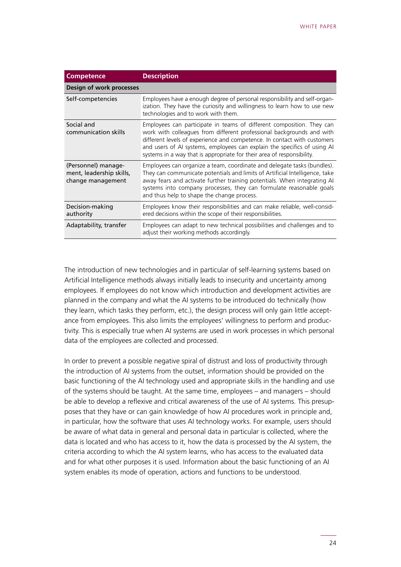| <b>Competence</b>                                                    | <b>Description</b>                                                                                                                                                                                                                                                                                                                                                               |  |  |  |
|----------------------------------------------------------------------|----------------------------------------------------------------------------------------------------------------------------------------------------------------------------------------------------------------------------------------------------------------------------------------------------------------------------------------------------------------------------------|--|--|--|
| Design of work processes                                             |                                                                                                                                                                                                                                                                                                                                                                                  |  |  |  |
| Self-competencies                                                    | Employees have a enough degree of personal responsibility and self-organ-<br>ization. They have the curiosity and willingness to learn how to use new<br>technologies and to work with them.                                                                                                                                                                                     |  |  |  |
| Social and<br>communication skills                                   | Employees can participate in teams of different composition. They can<br>work with colleagues from different professional backgrounds and with<br>different levels of experience and competence. In contact with customers<br>and users of AI systems, employees can explain the specifics of using AI<br>systems in a way that is appropriate for their area of responsibility. |  |  |  |
| (Personnel) manage-<br>ment, leadership skills,<br>change management | Employees can organize a team, coordinate and delegate tasks (bundles).<br>They can communicate potentials and limits of Artificial Intelligence, take<br>away fears and activate further training potentials. When integrating AI<br>systems into company processes, they can formulate reasonable goals<br>and thus help to shape the change process.                          |  |  |  |
| Decision-making<br>authority                                         | Employees know their responsibilities and can make reliable, well-consid-<br>ered decisions within the scope of their responsibilities.                                                                                                                                                                                                                                          |  |  |  |
| Adaptability, transfer                                               | Employees can adapt to new technical possibilities and challenges and to<br>adjust their working methods accordingly.                                                                                                                                                                                                                                                            |  |  |  |

The introduction of new technologies and in particular of self-learning systems based on Artificial Intelligence methods always initially leads to insecurity and uncertainty among employees. If employees do not know which introduction and development activities are planned in the company and what the AI systems to be introduced do technically (how they learn, which tasks they perform, etc.), the design process will only gain little acceptance from employees. This also limits the employees' willingness to perform and productivity. This is especially true when AI systems are used in work processes in which personal data of the employees are collected and processed.

In order to prevent a possible negative spiral of distrust and loss of productivity through the introduction of AI systems from the outset, information should be provided on the basic functioning of the AI technology used and appropriate skills in the handling and use of the systems should be taught. At the same time, employees – and managers – should be able to develop a reflexive and critical awareness of the use of AI systems. This presupposes that they have or can gain knowledge of how AI procedures work in principle and, in particular, how the software that uses AI technology works. For example, users should be aware of what data in general and personal data in particular is collected, where the data is located and who has access to it, how the data is processed by the AI system, the criteria according to which the AI system learns, who has access to the evaluated data and for what other purposes it is used. Information about the basic functioning of an AI system enables its mode of operation, actions and functions to be understood.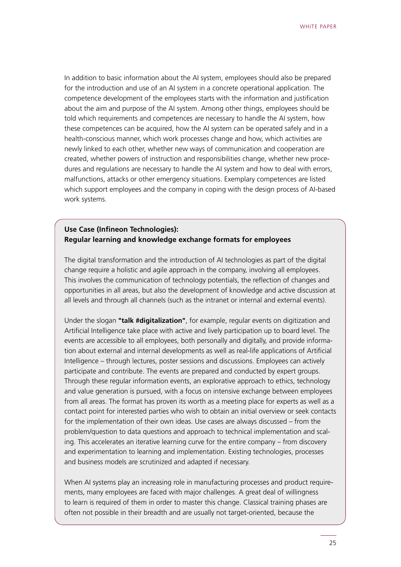In addition to basic information about the AI system, employees should also be prepared for the introduction and use of an AI system in a concrete operational application. The competence development of the employees starts with the information and justification about the aim and purpose of the AI system. Among other things, employees should be told which requirements and competences are necessary to handle the AI system, how these competences can be acquired, how the AI system can be operated safely and in a health-conscious manner, which work processes change and how, which activities are newly linked to each other, whether new ways of communication and cooperation are created, whether powers of instruction and responsibilities change, whether new procedures and regulations are necessary to handle the AI system and how to deal with errors, malfunctions, attacks or other emergency situations. Exemplary competences are listed which support employees and the company in coping with the design process of AI-based work systems.

#### **Use Case (Infineon Technologies): Regular learning and knowledge exchange formats for employees**

The digital transformation and the introduction of AI technologies as part of the digital change require a holistic and agile approach in the company, involving all employees. This involves the communication of technology potentials, the reflection of changes and opportunities in all areas, but also the development of knowledge and active discussion at all levels and through all channels (such as the intranet or internal and external events).

Under the slogan **"talk #digitalization"**, for example, regular events on digitization and Artificial Intelligence take place with active and lively participation up to board level. The events are accessible to all employees, both personally and digitally, and provide information about external and internal developments as well as real-life applications of Artificial Intelligence – through lectures, poster sessions and discussions. Employees can actively participate and contribute. The events are prepared and conducted by expert groups. Through these regular information events, an explorative approach to ethics, technology and value generation is pursued, with a focus on intensive exchange between employees from all areas. The format has proven its worth as a meeting place for experts as well as a contact point for interested parties who wish to obtain an initial overview or seek contacts for the implementation of their own ideas. Use cases are always discussed – from the problem/question to data questions and approach to technical implementation and scaling. This accelerates an iterative learning curve for the entire company – from discovery and experimentation to learning and implementation. Existing technologies, processes and business models are scrutinized and adapted if necessary.

When AI systems play an increasing role in manufacturing processes and product requirements, many employees are faced with major challenges. A great deal of willingness to learn is required of them in order to master this change. Classical training phases are often not possible in their breadth and are usually not target-oriented, because the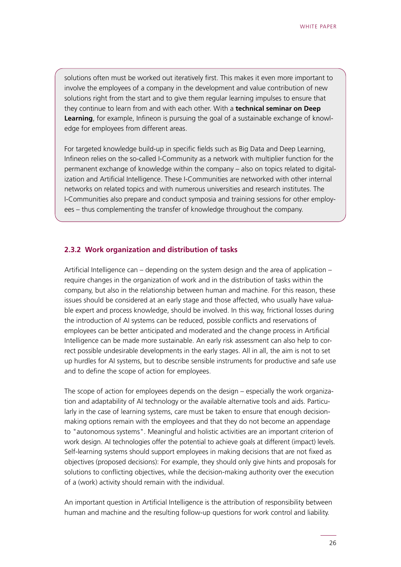solutions often must be worked out iteratively first. This makes it even more important to involve the employees of a company in the development and value contribution of new solutions right from the start and to give them regular learning impulses to ensure that they continue to learn from and with each other. With a **technical seminar on Deep Learning**, for example, Infineon is pursuing the goal of a sustainable exchange of knowledge for employees from different areas.

For targeted knowledge build-up in specific fields such as Big Data and Deep Learning, Infineon relies on the so-called I-Community as a network with multiplier function for the permanent exchange of knowledge within the company – also on topics related to digitalization and Artificial Intelligence. These I-Communities are networked with other internal networks on related topics and with numerous universities and research institutes. The I-Communities also prepare and conduct symposia and training sessions for other employees – thus complementing the transfer of knowledge throughout the company.

#### **2.3.2 Work organization and distribution of tasks**

Artificial Intelligence can – depending on the system design and the area of application – require changes in the organization of work and in the distribution of tasks within the company, but also in the relationship between human and machine. For this reason, these issues should be considered at an early stage and those affected, who usually have valuable expert and process knowledge, should be involved. In this way, frictional losses during the introduction of AI systems can be reduced, possible conflicts and reservations of employees can be better anticipated and moderated and the change process in Artificial Intelligence can be made more sustainable. An early risk assessment can also help to correct possible undesirable developments in the early stages. All in all, the aim is not to set up hurdles for AI systems, but to describe sensible instruments for productive and safe use and to define the scope of action for employees.

The scope of action for employees depends on the design – especially the work organization and adaptability of AI technology or the available alternative tools and aids. Particularly in the case of learning systems, care must be taken to ensure that enough decisionmaking options remain with the employees and that they do not become an appendage to "autonomous systems". Meaningful and holistic activities are an important criterion of work design. AI technologies offer the potential to achieve goals at different (impact) levels. Self-learning systems should support employees in making decisions that are not fixed as objectives (proposed decisions): For example, they should only give hints and proposals for solutions to conflicting objectives, while the decision-making authority over the execution of a (work) activity should remain with the individual.

An important question in Artificial Intelligence is the attribution of responsibility between human and machine and the resulting follow-up questions for work control and liability.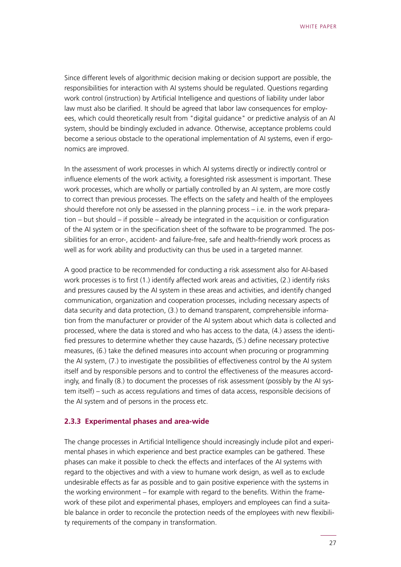Since different levels of algorithmic decision making or decision support are possible, the responsibilities for interaction with AI systems should be regulated. Questions regarding work control (instruction) by Artificial Intelligence and questions of liability under labor law must also be clarified. It should be agreed that labor law consequences for employees, which could theoretically result from "digital guidance" or predictive analysis of an AI system, should be bindingly excluded in advance. Otherwise, acceptance problems could become a serious obstacle to the operational implementation of AI systems, even if ergonomics are improved.

In the assessment of work processes in which AI systems directly or indirectly control or influence elements of the work activity, a foresighted risk assessment is important. These work processes, which are wholly or partially controlled by an AI system, are more costly to correct than previous processes. The effects on the safety and health of the employees should therefore not only be assessed in the planning process – i.e. in the work preparation – but should – if possible – already be integrated in the acquisition or configuration of the AI system or in the specification sheet of the software to be programmed. The possibilities for an error-, accident- and failure-free, safe and health-friendly work process as well as for work ability and productivity can thus be used in a targeted manner.

A good practice to be recommended for conducting a risk assessment also for AI-based work processes is to first (1.) identify affected work areas and activities, (2.) identify risks and pressures caused by the AI system in these areas and activities, and identify changed communication, organization and cooperation processes, including necessary aspects of data security and data protection, (3.) to demand transparent, comprehensible information from the manufacturer or provider of the AI system about which data is collected and processed, where the data is stored and who has access to the data, (4.) assess the identified pressures to determine whether they cause hazards, (5.) define necessary protective measures, (6.) take the defined measures into account when procuring or programming the AI system, (7.) to investigate the possibilities of effectiveness control by the AI system itself and by responsible persons and to control the effectiveness of the measures accordingly, and finally (8.) to document the processes of risk assessment (possibly by the AI system itself) – such as access regulations and times of data access, responsible decisions of the AI system and of persons in the process etc.

#### **2.3.3 Experimental phases and area-wide**

The change processes in Artificial Intelligence should increasingly include pilot and experimental phases in which experience and best practice examples can be gathered. These phases can make it possible to check the effects and interfaces of the AI systems with regard to the objectives and with a view to humane work design, as well as to exclude undesirable effects as far as possible and to gain positive experience with the systems in the working environment – for example with regard to the benefits. Within the framework of these pilot and experimental phases, employers and employees can find a suitable balance in order to reconcile the protection needs of the employees with new flexibility requirements of the company in transformation.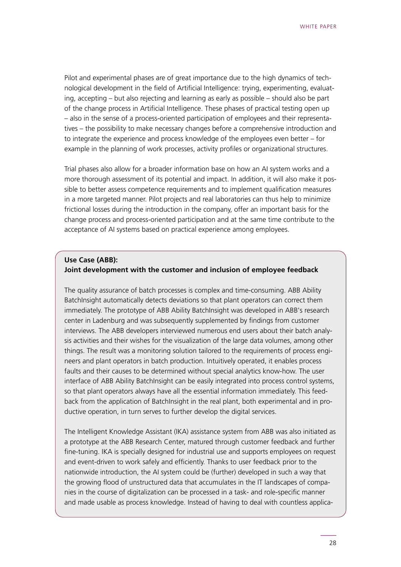Pilot and experimental phases are of great importance due to the high dynamics of technological development in the field of Artificial Intelligence: trying, experimenting, evaluating, accepting – but also rejecting and learning as early as possible – should also be part of the change process in Artificial Intelligence. These phases of practical testing open up – also in the sense of a process-oriented participation of employees and their representatives – the possibility to make necessary changes before a comprehensive introduction and to integrate the experience and process knowledge of the employees even better – for example in the planning of work processes, activity profiles or organizational structures.

Trial phases also allow for a broader information base on how an AI system works and a more thorough assessment of its potential and impact. In addition, it will also make it possible to better assess competence requirements and to implement qualification measures in a more targeted manner. Pilot projects and real laboratories can thus help to minimize frictional losses during the introduction in the company, offer an important basis for the change process and process-oriented participation and at the same time contribute to the acceptance of AI systems based on practical experience among employees.

#### **Use Case (ABB): Joint development with the customer and inclusion of employee feedback**

The quality assurance of batch processes is complex and time-consuming. ABB Ability BatchInsight automatically detects deviations so that plant operators can correct them immediately. The prototype of ABB Ability BatchInsight was developed in ABB's research center in Ladenburg and was subsequently supplemented by findings from customer interviews. The ABB developers interviewed numerous end users about their batch analysis activities and their wishes for the visualization of the large data volumes, among other things. The result was a monitoring solution tailored to the requirements of process engineers and plant operators in batch production. Intuitively operated, it enables process faults and their causes to be determined without special analytics know-how. The user interface of ABB Ability BatchInsight can be easily integrated into process control systems, so that plant operators always have all the essential information immediately. This feedback from the application of BatchInsight in the real plant, both experimental and in productive operation, in turn serves to further develop the digital services.

The Intelligent Knowledge Assistant (IKA) assistance system from ABB was also initiated as a prototype at the ABB Research Center, matured through customer feedback and further fine-tuning. IKA is specially designed for industrial use and supports employees on request and event-driven to work safely and efficiently. Thanks to user feedback prior to the nationwide introduction, the AI system could be (further) developed in such a way that the growing flood of unstructured data that accumulates in the IT landscapes of companies in the course of digitalization can be processed in a task- and role-specific manner and made usable as process knowledge. Instead of having to deal with countless applica-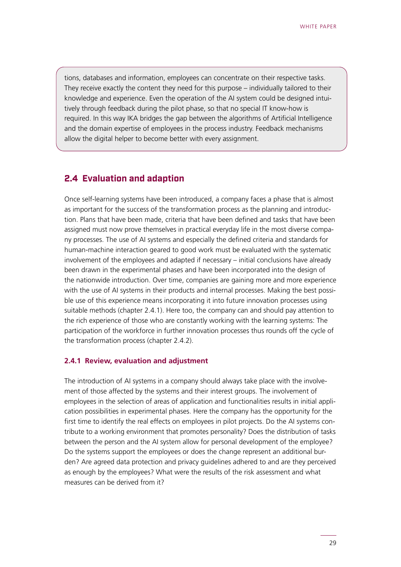<span id="page-28-0"></span>tions, databases and information, employees can concentrate on their respective tasks. They receive exactly the content they need for this purpose – individually tailored to their knowledge and experience. Even the operation of the AI system could be designed intuitively through feedback during the pilot phase, so that no special IT know-how is required. In this way IKA bridges the gap between the algorithms of Artificial Intelligence and the domain expertise of employees in the process industry. Feedback mechanisms allow the digital helper to become better with every assignment.

#### **2.4 Evaluation and adaption**

Once self-learning systems have been introduced, a company faces a phase that is almost as important for the success of the transformation process as the planning and introduction. Plans that have been made, criteria that have been defined and tasks that have been assigned must now prove themselves in practical everyday life in the most diverse company processes. The use of AI systems and especially the defined criteria and standards for human-machine interaction geared to good work must be evaluated with the systematic involvement of the employees and adapted if necessary – initial conclusions have already been drawn in the experimental phases and have been incorporated into the design of the nationwide introduction. Over time, companies are gaining more and more experience with the use of AI systems in their products and internal processes. Making the best possible use of this experience means incorporating it into future innovation processes using suitable methods (chapter 2.4.1). Here too, the company can and should pay attention to the rich experience of those who are constantly working with the learning systems: The participation of the workforce in further innovation processes thus rounds off the cycle of the transformation process (chapter 2.4.2).

#### **2.4.1 Review, evaluation and adjustment**

The introduction of AI systems in a company should always take place with the involvement of those affected by the systems and their interest groups. The involvement of employees in the selection of areas of application and functionalities results in initial application possibilities in experimental phases. Here the company has the opportunity for the first time to identify the real effects on employees in pilot projects. Do the AI systems contribute to a working environment that promotes personality? Does the distribution of tasks between the person and the AI system allow for personal development of the employee? Do the systems support the employees or does the change represent an additional burden? Are agreed data protection and privacy guidelines adhered to and are they perceived as enough by the employees? What were the results of the risk assessment and what measures can be derived from it?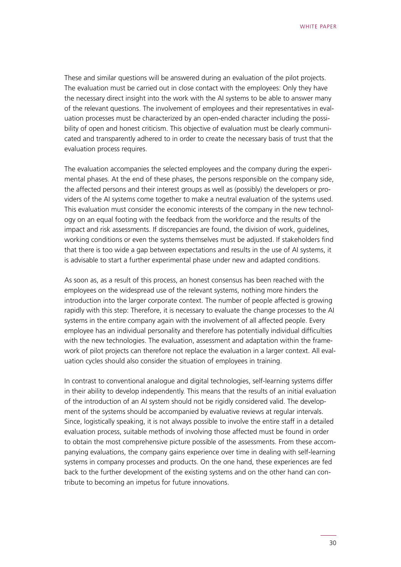These and similar questions will be answered during an evaluation of the pilot projects. The evaluation must be carried out in close contact with the employees: Only they have the necessary direct insight into the work with the AI systems to be able to answer many of the relevant questions. The involvement of employees and their representatives in evaluation processes must be characterized by an open-ended character including the possibility of open and honest criticism. This objective of evaluation must be clearly communicated and transparently adhered to in order to create the necessary basis of trust that the evaluation process requires.

The evaluation accompanies the selected employees and the company during the experimental phases. At the end of these phases, the persons responsible on the company side, the affected persons and their interest groups as well as (possibly) the developers or providers of the AI systems come together to make a neutral evaluation of the systems used. This evaluation must consider the economic interests of the company in the new technology on an equal footing with the feedback from the workforce and the results of the impact and risk assessments. If discrepancies are found, the division of work, guidelines, working conditions or even the systems themselves must be adjusted. If stakeholders find that there is too wide a gap between expectations and results in the use of AI systems, it is advisable to start a further experimental phase under new and adapted conditions.

As soon as, as a result of this process, an honest consensus has been reached with the employees on the widespread use of the relevant systems, nothing more hinders the introduction into the larger corporate context. The number of people affected is growing rapidly with this step: Therefore, it is necessary to evaluate the change processes to the AI systems in the entire company again with the involvement of all affected people. Every employee has an individual personality and therefore has potentially individual difficulties with the new technologies. The evaluation, assessment and adaptation within the framework of pilot projects can therefore not replace the evaluation in a larger context. All evaluation cycles should also consider the situation of employees in training.

In contrast to conventional analogue and digital technologies, self-learning systems differ in their ability to develop independently. This means that the results of an initial evaluation of the introduction of an AI system should not be rigidly considered valid. The development of the systems should be accompanied by evaluative reviews at regular intervals. Since, logistically speaking, it is not always possible to involve the entire staff in a detailed evaluation process, suitable methods of involving those affected must be found in order to obtain the most comprehensive picture possible of the assessments. From these accompanying evaluations, the company gains experience over time in dealing with self-learning systems in company processes and products. On the one hand, these experiences are fed back to the further development of the existing systems and on the other hand can contribute to becoming an impetus for future innovations.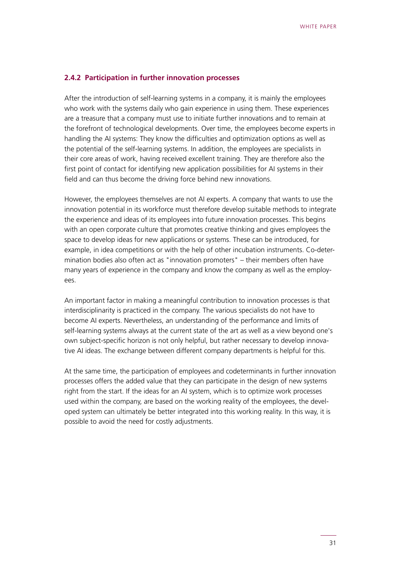#### **2.4.2 Participation in further innovation processes**

After the introduction of self-learning systems in a company, it is mainly the employees who work with the systems daily who gain experience in using them. These experiences are a treasure that a company must use to initiate further innovations and to remain at the forefront of technological developments. Over time, the employees become experts in handling the AI systems: They know the difficulties and optimization options as well as the potential of the self-learning systems. In addition, the employees are specialists in their core areas of work, having received excellent training. They are therefore also the first point of contact for identifying new application possibilities for AI systems in their field and can thus become the driving force behind new innovations.

However, the employees themselves are not AI experts. A company that wants to use the innovation potential in its workforce must therefore develop suitable methods to integrate the experience and ideas of its employees into future innovation processes. This begins with an open corporate culture that promotes creative thinking and gives employees the space to develop ideas for new applications or systems. These can be introduced, for example, in idea competitions or with the help of other incubation instruments. Co-determination bodies also often act as "innovation promoters" – their members often have many years of experience in the company and know the company as well as the employees.

An important factor in making a meaningful contribution to innovation processes is that interdisciplinarity is practiced in the company. The various specialists do not have to become AI experts. Nevertheless, an understanding of the performance and limits of self-learning systems always at the current state of the art as well as a view beyond one's own subject-specific horizon is not only helpful, but rather necessary to develop innovative AI ideas. The exchange between different company departments is helpful for this.

At the same time, the participation of employees and codeterminants in further innovation processes offers the added value that they can participate in the design of new systems right from the start. If the ideas for an AI system, which is to optimize work processes used within the company, are based on the working reality of the employees, the developed system can ultimately be better integrated into this working reality. In this way, it is possible to avoid the need for costly adjustments.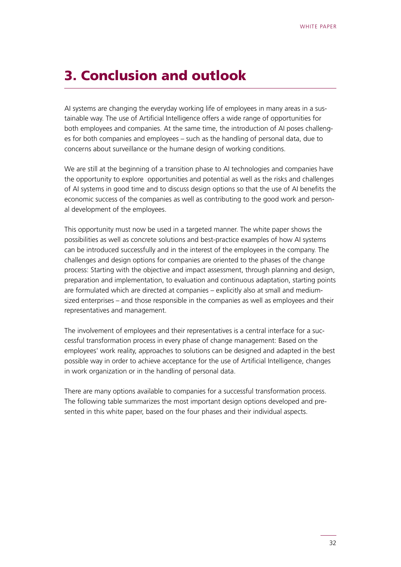### <span id="page-31-0"></span>3. Conclusion and outlook

AI systems are changing the everyday working life of employees in many areas in a sustainable way. The use of Artificial Intelligence offers a wide range of opportunities for both employees and companies. At the same time, the introduction of AI poses challenges for both companies and employees – such as the handling of personal data, due to concerns about surveillance or the humane design of working conditions.

We are still at the beginning of a transition phase to AI technologies and companies have the opportunity to explore opportunities and potential as well as the risks and challenges of AI systems in good time and to discuss design options so that the use of AI benefits the economic success of the companies as well as contributing to the good work and personal development of the employees.

This opportunity must now be used in a targeted manner. The white paper shows the possibilities as well as concrete solutions and best-practice examples of how AI systems can be introduced successfully and in the interest of the employees in the company. The challenges and design options for companies are oriented to the phases of the change process: Starting with the objective and impact assessment, through planning and design, preparation and implementation, to evaluation and continuous adaptation, starting points are formulated which are directed at companies – explicitly also at small and mediumsized enterprises – and those responsible in the companies as well as employees and their representatives and management.

The involvement of employees and their representatives is a central interface for a successful transformation process in every phase of change management: Based on the employees' work reality, approaches to solutions can be designed and adapted in the best possible way in order to achieve acceptance for the use of Artificial Intelligence, changes in work organization or in the handling of personal data.

There are many options available to companies for a successful transformation process. The following table summarizes the most important design options developed and presented in this white paper, based on the four phases and their individual aspects.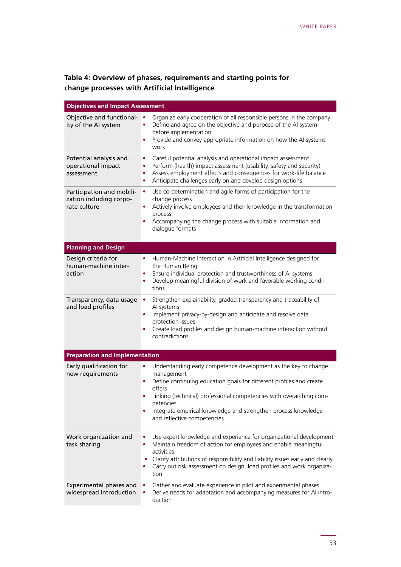$\mathcal{L}(\mathcal{L}^{\mathcal{L}}_{\mathcal{L}})$  and the set of the set of the set of the set of the set of the set of the set of the set of the set of the set of the set of the set of the set of the set of the set of the set of the set of

### **Table 4: Overview of phases, requirements and starting points for change processes with Artificial Intelligence**

| <b>Objectives and Impact Assessment</b>                              |                                                                                                                                                                                                                                                                                                                                                                               |
|----------------------------------------------------------------------|-------------------------------------------------------------------------------------------------------------------------------------------------------------------------------------------------------------------------------------------------------------------------------------------------------------------------------------------------------------------------------|
| Objective and functional- •<br>ity of the AI system                  | Organize early cooperation of all responsible persons in the company<br>Define and agree on the objective and purpose of the AI system<br>before implementation<br>Provide and convey appropriate information on how the AI systems<br>work                                                                                                                                   |
| Potential analysis and<br>operational impact<br>assessment           | Careful potential analysis and operational impact assessment<br>$\bullet$<br>Perform (health) impact assessment (usability, safety and security)<br>٠<br>Assess employment effects and consequences for work-life balance<br>٠<br>Anticipate challenges early on and develop design options<br>$\bullet$                                                                      |
| Participation and mobili-<br>zation including corpo-<br>rate culture | Use co-determination and agile forms of participation for the<br>$\bullet$<br>change process<br>Actively involve employees and their knowledge in the transformation<br>٠<br>process<br>Accompanying the change process with suitable information and<br>dialogue formats                                                                                                     |
| <b>Planning and Design</b>                                           |                                                                                                                                                                                                                                                                                                                                                                               |
| Design criteria for<br>human-machine inter-<br>action                | Human-Machine Interaction in Artificial Intelligence designed for<br>٠<br>the Human Being<br>Ensure individual protection and trustworthiness of AI systems<br>۰<br>Develop meaningful division of work and favorable working condi-<br>$\bullet$<br>tions                                                                                                                    |
| Transparency, data usage<br>and load profiles                        | Strengthen explainability, graded transparency and traceability of<br>$\bullet$<br>AI systems<br>Implement privacy-by-design and anticipate and resolve data<br>protection issues<br>Create load profiles and design human-machine interaction without<br>contradictions                                                                                                      |
| <b>Preparation and Implementation</b>                                |                                                                                                                                                                                                                                                                                                                                                                               |
| Early qualification for<br>new requirements                          | Understanding early competence development as the key to change<br>$\bullet$<br>management<br>Define continuing education goals for different profiles and create<br>$\bullet$<br>offers<br>Linking (technical) professional competencies with overarching com-<br>petencies<br>Integrate empirical knowledge and strengthen process knowledge<br>and reflective competencies |
| Work organization and<br>task sharing                                | Use expert knowledge and experience for organizational development<br>٠<br>Maintain freedom of action for employees and enable meaningful<br>activities<br>Clarify attributions of responsibility and liability issues early and clearly<br>Carry out risk assessment on design, load profiles and work organiza-<br>tion                                                     |
| Experimental phases and<br>widespread introduction                   | Gather and evaluate experience in pilot and experimental phases<br>Derive needs for adaptation and accompanying measures for AI intro-<br>duction                                                                                                                                                                                                                             |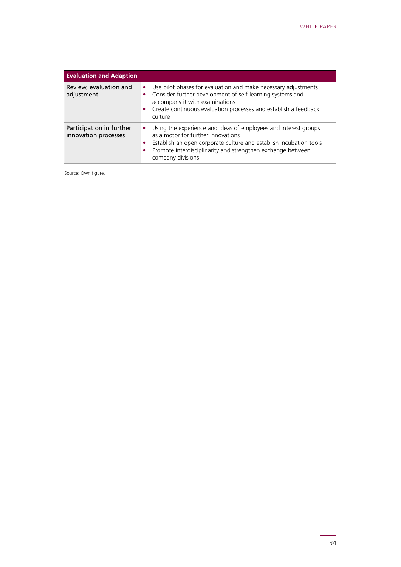| <b>Evaluation and Adaption</b>                   |                                                                                                                                                                                                                                                                      |  |  |  |
|--------------------------------------------------|----------------------------------------------------------------------------------------------------------------------------------------------------------------------------------------------------------------------------------------------------------------------|--|--|--|
| Review, evaluation and<br>adjustment             | Use pilot phases for evaluation and make necessary adjustments<br>٠<br>Consider further development of self-learning systems and<br>٠<br>accompany it with examinations<br>Create continuous evaluation processes and establish a feedback<br>٠<br>culture           |  |  |  |
| Participation in further<br>innovation processes | Using the experience and ideas of employees and interest groups<br>٠<br>as a motor for further innovations<br>Establish an open corporate culture and establish incubation tools<br>Promote interdisciplinarity and strengthen exchange between<br>company divisions |  |  |  |

Source: Own figure.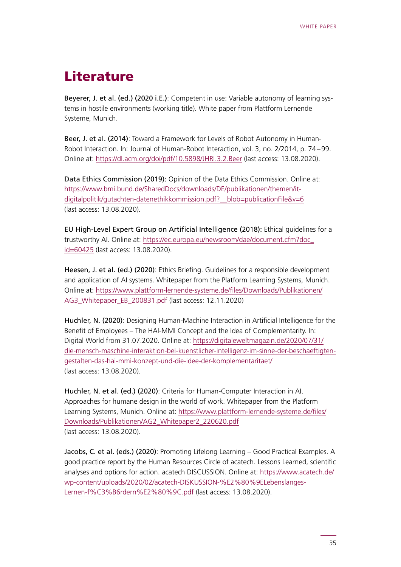### <span id="page-34-0"></span>**Literature**

Beyerer, J. et al. (ed.) (2020 i.E.): Competent in use: Variable autonomy of learning systems in hostile environments (working title). White paper from Plattform Lernende Systeme, Munich.

Beer, J. et al. (2014): Toward a Framework for Levels of Robot Autonomy in Human-Robot Interaction. In: Journal of Human-Robot Interaction, vol. 3, no. 2/2014, p. 74–99. Online at:<https://dl.acm.org/doi/pdf/10.5898/JHRI.3.2.Beer> (last access: 13.08.2020).

Data Ethics Commission (2019): Opinion of the Data Ethics Commission. Online at: [https://www.bmi.bund.de/SharedDocs/downloads/DE/publikationen/themen/it](https://www.bmi.bund.de/SharedDocs/downloads/DE/publikationen/themen/it-digitalpolitik/gutachten-datenethikkommission.pdf?__blob=publicationFile&v=6)[digitalpolitik/gutachten-datenethikkommission.pdf?\\_\\_blob=publicationFile&v=6](https://www.bmi.bund.de/SharedDocs/downloads/DE/publikationen/themen/it-digitalpolitik/gutachten-datenethikkommission.pdf?__blob=publicationFile&v=6) (last access: 13.08.2020).

EU High-Level Expert Group on Artificial Intelligence (2018): Ethical guidelines for a trustworthy AI. Online at: [https://ec.europa.eu/newsroom/dae/document.cfm?doc\\_](https://ec.europa.eu/newsroom/dae/document.cfm?doc_id=60425) [id=60425](https://ec.europa.eu/newsroom/dae/document.cfm?doc_id=60425) (last access: 13.08.2020).

Heesen, J. et al. (ed.) (2020): Ethics Briefing. Guidelines for a responsible development and application of AI systems. Whitepaper from the Platform Learning Systems, Munich. Online at: [https://www.plattform-lernende-systeme.de/files/Downloads/Publikationen/](https://www.plattform-lernende-systeme.de/files/Downloads/Publikationen/AG3_Whitepaper_EB_200831.pdf) [AG3\\_Whitepaper\\_EB\\_200831.pdf](https://www.plattform-lernende-systeme.de/files/Downloads/Publikationen/AG3_Whitepaper_EB_200831.pdf) (last access: 12.11.2020)

Huchler, N. (2020): Designing Human-Machine Interaction in Artificial Intelligence for the Benefit of Employees – The HAI-MMI Concept and the Idea of Complementarity. In: Digital World from 31.07.2020. Online at: [https://digitaleweltmagazin.de/2020/07/31/](https://digitaleweltmagazin.de/2020/07/31/die-mensch-maschine-interaktion-bei-kuenstlicher-intelligenz-im-sinne-der-beschaeftigten-gestalten-das-hai-mmi-konzept-und-die-idee-der-komplementaritaet/) [die-mensch-maschine-interaktion-bei-kuenstlicher-intelligenz-im-sinne-der-beschaeftigten](https://digitaleweltmagazin.de/2020/07/31/die-mensch-maschine-interaktion-bei-kuenstlicher-intelligenz-im-sinne-der-beschaeftigten-gestalten-das-hai-mmi-konzept-und-die-idee-der-komplementaritaet/)[gestalten-das-hai-mmi-konzept-und-die-idee-der-komplementaritaet/](https://digitaleweltmagazin.de/2020/07/31/die-mensch-maschine-interaktion-bei-kuenstlicher-intelligenz-im-sinne-der-beschaeftigten-gestalten-das-hai-mmi-konzept-und-die-idee-der-komplementaritaet/) (last access: 13.08.2020).

Huchler, N. et al. (ed.) (2020): Criteria for Human-Computer Interaction in AI. Approaches for humane design in the world of work. Whitepaper from the Platform Learning Systems, Munich. Online at: [https://www.plattform-lernende-systeme.de/files/](https://www.plattform-lernende-systeme.de/files/Downloads/Publikationen/AG2_Whitepaper2_220620.pdf) [Downloads/Publikationen/AG2\\_Whitepaper2\\_220620.pdf](https://www.plattform-lernende-systeme.de/files/Downloads/Publikationen/AG2_Whitepaper2_220620.pdf) (last access: 13.08.2020).

Jacobs, C. et al. (eds.) (2020): Promoting Lifelong Learning – Good Practical Examples. A good practice report by the Human Resources Circle of acatech. Lessons Learned, scientific analyses and options for action. acatech DISCUSSION. Online at: [https://www.acatech.de/](https://www.acatech.de/wp-content/uploads/2020/02/acatech-DISKUSSION-%E2%80%9ELebenslanges-Lernen-f%C3%B6rdern%E2%80%9C.pdf) [wp-content/uploads/2020/02/acatech-DISKUSSION-%E2%80%9ELebenslanges-](https://www.acatech.de/wp-content/uploads/2020/02/acatech-DISKUSSION-%E2%80%9ELebenslanges-Lernen-f%C3%B6rdern%E2%80%9C.pdf)[Lernen-f%C3%B6rdern%E2%80%9C.pdf \(](https://www.acatech.de/wp-content/uploads/2020/02/acatech-DISKUSSION-%E2%80%9ELebenslanges-Lernen-f%C3%B6rdern%E2%80%9C.pdf)last access: 13.08.2020).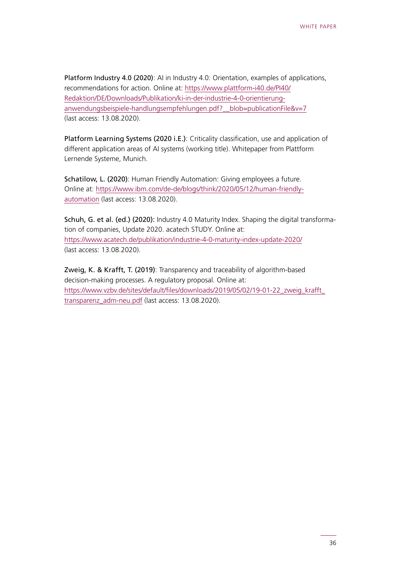Platform Industry 4.0 (2020): AI in Industry 4.0: Orientation, examples of applications, recommendations for action. Online at: [https://www.plattform-i40.de/PI40/](https://www.plattform-i40.de/PI40/Redaktion/DE/Downloads/Publikation/ki-in-der-industrie-4-0-orientierung-anwendungsbeispiele-handlungsempfehlungen.pdf?__blob=publicationFile&v=7) [Redaktion/DE/Downloads/Publikation/ki-in-der-industrie-4-0-orientierung](https://www.plattform-i40.de/PI40/Redaktion/DE/Downloads/Publikation/ki-in-der-industrie-4-0-orientierung-anwendungsbeispiele-handlungsempfehlungen.pdf?__blob=publicationFile&v=7)[anwendungsbeispiele-handlungsempfehlungen.pdf?\\_\\_blob=publicationFile&v=7](https://www.plattform-i40.de/PI40/Redaktion/DE/Downloads/Publikation/ki-in-der-industrie-4-0-orientierung-anwendungsbeispiele-handlungsempfehlungen.pdf?__blob=publicationFile&v=7) (last access: 13.08.2020).

Platform Learning Systems (2020 i.E.): Criticality classification, use and application of different application areas of AI systems (working title). Whitepaper from Plattform Lernende Systeme, Munich.

Schatilow, L. (2020): Human Friendly Automation: Giving employees a future. Online at: [https://www.ibm.com/de-de/blogs/think/2020/05/12/human-friendly](https://www.ibm.com/de-de/blogs/think/2020/05/12/human-friendly-automation)[automation](https://www.ibm.com/de-de/blogs/think/2020/05/12/human-friendly-automation) (last access: 13.08.2020).

Schuh, G. et al. (ed.) (2020): Industry 4.0 Maturity Index. Shaping the digital transformation of companies, Update 2020. acatech STUDY. Online at: <https://www.acatech.de/publikation/industrie-4-0-maturity-index-update-2020/> (last access: 13.08.2020).

Zweig, K. & Krafft, T. (2019): Transparency and traceability of algorithm-based decision-making processes. A regulatory proposal. Online at: [https://www.vzbv.de/sites/default/files/downloads/2019/05/02/19-01-22\\_zweig\\_krafft\\_](https://www.vzbv.de/sites/default/files/downloads/2019/05/02/19-01-22_zweig_krafft_transparenz_adm-neu.pdf) [transparenz\\_adm-neu.pdf](https://www.vzbv.de/sites/default/files/downloads/2019/05/02/19-01-22_zweig_krafft_transparenz_adm-neu.pdf) (last access: 13.08.2020).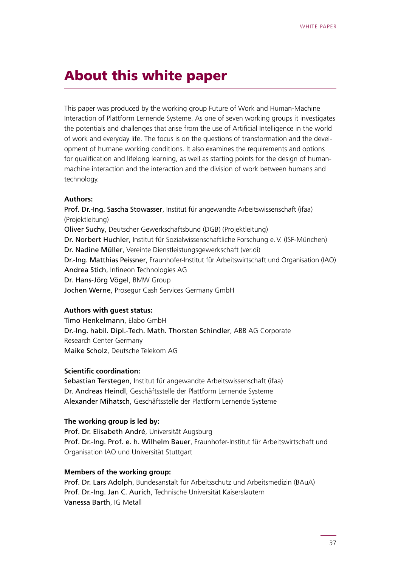### <span id="page-36-0"></span>About this white paper

This paper was produced by the working group Future of Work and Human-Machine Interaction of Plattform Lernende Systeme. As one of seven working groups it investigates the potentials and challenges that arise from the use of Artificial Intelligence in the world of work and everyday life. The focus is on the questions of transformation and the development of humane working conditions. It also examines the requirements and options for qualification and lifelong learning, as well as starting points for the design of humanmachine interaction and the interaction and the division of work between humans and technology.

#### **Authors:**

Prof. Dr.-Ing. Sascha Stowasser, Institut für angewandte Arbeitswissenschaft (ifaa) (Projektleitung) Oliver Suchy, Deutscher Gewerkschaftsbund (DGB) (Projektleitung) Dr. Norbert Huchler, Institut für Sozialwissenschaftliche Forschung e.V. (ISF-München) Dr. Nadine Müller, Vereinte Dienstleistungsgewerkschaft (ver.di) Dr.-Ing. Matthias Peissner, Fraunhofer-Institut für Arbeitswirtschaft und Organisation (IAO) Andrea Stich, Infineon Technologies AG Dr. Hans-Jörg Vögel, BMW Group Jochen Werne, Prosegur Cash Services Germany GmbH

#### **Authors with guest status:**

Timo Henkelmann, Elabo GmbH Dr.-Ing. habil. Dipl.-Tech. Math. Thorsten Schindler, ABB AG Corporate Research Center Germany Maike Scholz, Deutsche Telekom AG

#### **Scientific coordination:**

Sebastian Terstegen, Institut für angewandte Arbeitswissenschaft (ifaa) Dr. Andreas Heindl, Geschäftsstelle der Plattform Lernende Systeme Alexander Mihatsch, Geschäftsstelle der Plattform Lernende Systeme

#### **The working group is led by:**

Prof. Dr. Elisabeth André, Universität Augsburg Prof. Dr.-Ing. Prof. e. h. Wilhelm Bauer, Fraunhofer-Institut für Arbeitswirtschaft und Organisation IAO und Universität Stuttgart

#### **Members of the working group:**

Prof. Dr. Lars Adolph, Bundesanstalt für Arbeitsschutz und Arbeitsmedizin (BAuA) Prof. Dr.-Ing. Jan C. Aurich, Technische Universität Kaiserslautern Vanessa Barth, IG Metall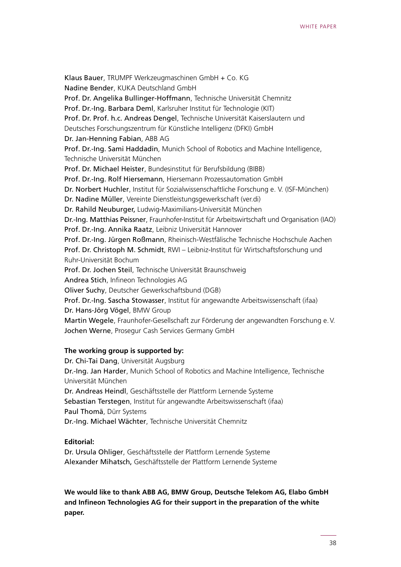Klaus Bauer, TRUMPF Werkzeugmaschinen GmbH + Co. KG Nadine Bender, KUKA Deutschland GmbH Prof. Dr. Angelika Bullinger-Hoffmann, Technische Universität Chemnitz Prof. Dr.-Ing. Barbara Deml, Karlsruher Institut für Technologie (KIT) Prof. Dr. Prof. h.c. Andreas Dengel, Technische Universität Kaiserslautern und Deutsches Forschungszentrum für Künstliche Intelligenz (DFKI) GmbH Dr. Jan-Henning Fabian, ABB AG Prof. Dr.-Ing. Sami Haddadin, Munich School of Robotics and Machine Intelligence, Technische Universität München Prof. Dr. Michael Heister, Bundesinstitut für Berufsbildung (BIBB) Prof. Dr.-Ing. Rolf Hiersemann, Hiersemann Prozessautomation GmbH Dr. Norbert Huchler, Institut für Sozialwissenschaftliche Forschung e. V. (ISF-München) Dr. Nadine Müller, Vereinte Dienstleistungsgewerkschaft (ver.di) Dr. Rahild Neuburger, Ludwig-Maximilians-Universität München Dr.-Ing. Matthias Peissner, Fraunhofer-Institut für Arbeitswirtschaft und Organisation (IAO) Prof. Dr.-Ing. Annika Raatz, Leibniz Universität Hannover Prof. Dr.-Ing. Jürgen Roßmann, Rheinisch-Westfälische Technische Hochschule Aachen Prof. Dr. Christoph M. Schmidt, RWI – Leibniz-Institut für Wirtschaftsforschung und Ruhr-Universität Bochum Prof. Dr. Jochen Steil, Technische Universität Braunschweig Andrea Stich, Infineon Technologies AG Oliver Suchy, Deutscher Gewerkschaftsbund (DGB) Prof. Dr.-Ing. Sascha Stowasser, Institut für angewandte Arbeitswissenschaft (ifaa) Dr. Hans-Jörg Vögel, BMW Group Martin Wegele, Fraunhofer-Gesellschaft zur Förderung der angewandten Forschung e.V. Jochen Werne, Prosegur Cash Services Germany GmbH

#### **The working group is supported by:**

Dr. Chi-Tai Dang, Universität Augsburg Dr.-Ing. Jan Harder, Munich School of Robotics and Machine Intelligence, Technische Universität München Dr. Andreas Heindl, Geschäftsstelle der Plattform Lernende Systeme Sebastian Terstegen, Institut für angewandte Arbeitswissenschaft (ifaa) Paul Thomä, Dürr Systems Dr.-Ing. Michael Wächter, Technische Universität Chemnitz

#### **Editorial:**

Dr. Ursula Ohliger, Geschäftsstelle der Plattform Lernende Systeme Alexander Mihatsch, Geschäftsstelle der Plattform Lernende Systeme

**We would like to thank ABB AG, BMW Group, Deutsche Telekom AG, Elabo GmbH and Infineon Technologies AG for their support in the preparation of the white paper.**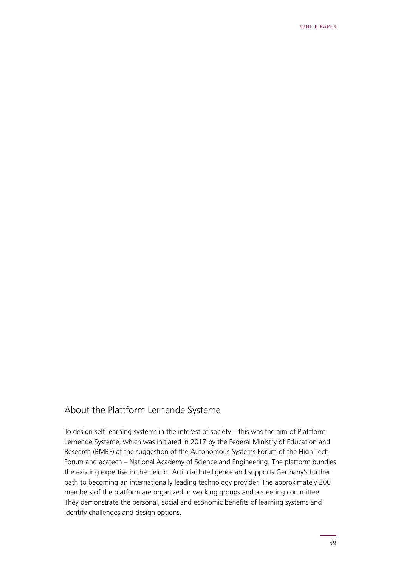### About the Plattform Lernende Systeme

To design self-learning systems in the interest of society – this was the aim of Plattform Lernende Systeme, which was initiated in 2017 by the Federal Ministry of Education and Research (BMBF) at the suggestion of the Autonomous Systems Forum of the High-Tech Forum and acatech – National Academy of Science and Engineering. The platform bundles the existing expertise in the field of Artificial Intelligence and supports Germany's further path to becoming an internationally leading technology provider. The approximately 200 members of the platform are organized in working groups and a steering committee. They demonstrate the personal, social and economic benefits of learning systems and identify challenges and design options.